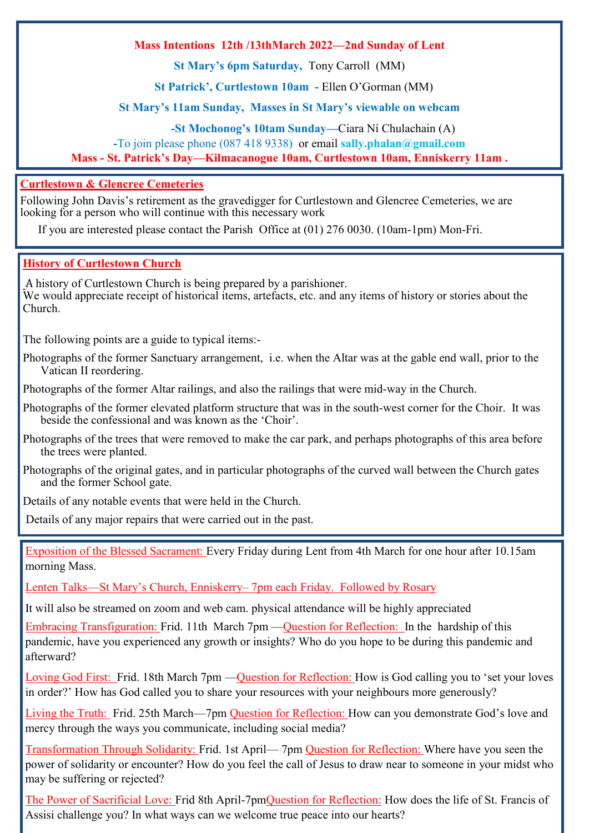#### **Mass Intentions 12th /13thMarch 2022—2nd Sunday of Lent**

**St Mary's 6pm Saturday,** Tony Carroll (MM)

**St Patrick', Curtlestown 10am -** Ellen O'Gorman (MM)

#### **St Mary's 11am Sunday, Masses in St Mary's viewable on webcam**

 **-St Mochonog's 10tam Sunday—**Ciara Ní Chulachain (A)

**-**To join please phone (087 418 9338) or email **sally.phalan@gmail.com** 

#### **Mass - St. Patrick's Day—Kilmacanogue 10am, Curtlestown 10am, Enniskerry 11am .**

#### **Curtlestown & Glencree Cemeteries**

Following John Davis's retirement as the gravedigger for Curtlestown and Glencree Cemeteries, we are looking for a person who will continue with this necessary work

If you are interested please contact the Parish Office at (01) 276 0030. (10am-1pm) Mon-Fri.

#### **History of Curtlestown Church**

A history of Curtlestown Church is being prepared by a parishioner. We would appreciate receipt of historical items, artefacts, etc. and any items of history or stories about the Church.

The following points are a guide to typical items:-

Photographs of the former Sanctuary arrangement, i.e. when the Altar was at the gable end wall, prior to the Vatican II reordering.

Photographs of the former Altar railings, and also the railings that were mid‑way in the Church.

Photographs of the former elevated platform structure that was in the south-west corner for the Choir. It was beside the confessional and was known as the 'Choir'.

Photographs of the trees that were removed to make the car park, and perhaps photographs of this area before the trees were planted.

Photographs of the original gates, and in particular photographs of the curved wall between the Church gates and the former School gate.

Details of any notable events that were held in the Church.

Details of any major repairs that were carried out in the past.

Exposition of the Blessed Sacrament: Every Friday during Lent from 4th March for one hour after 10.15am morning Mass.

Lenten Talks—St Mary's Church, Enniskerry– 7pm each Friday. Followed by Rosary

It will also be streamed on zoom and web cam. physical attendance will be highly appreciated

Embracing Transfiguration: Frid. 11th March 7pm —Question for Reflection: In the hardship of this pandemic, have you experienced any growth or insights? Who do you hope to be during this pandemic and afterward?

Loving God First: Frid. 18th March 7pm —Question for Reflection: How is God calling you to 'set your loves in order?' How has God called you to share your resources with your neighbours more generously?

Living the Truth: Frid. 25th March—7pm Question for Reflection: How can you demonstrate God's love and mercy through the ways you communicate, including social media?

Transformation Through Solidarity: Frid. 1st April— 7pm Question for Reflection: Where have you seen the power of solidarity or encounter? How do you feel the call of Jesus to draw near to someone in your midst who may be suffering or rejected?

The Power of Sacrificial Love: Frid 8th April-7pmQuestion for Reflection: How does the life of St. Francis of Assisi challenge you? In what ways can we welcome true peace into our hearts?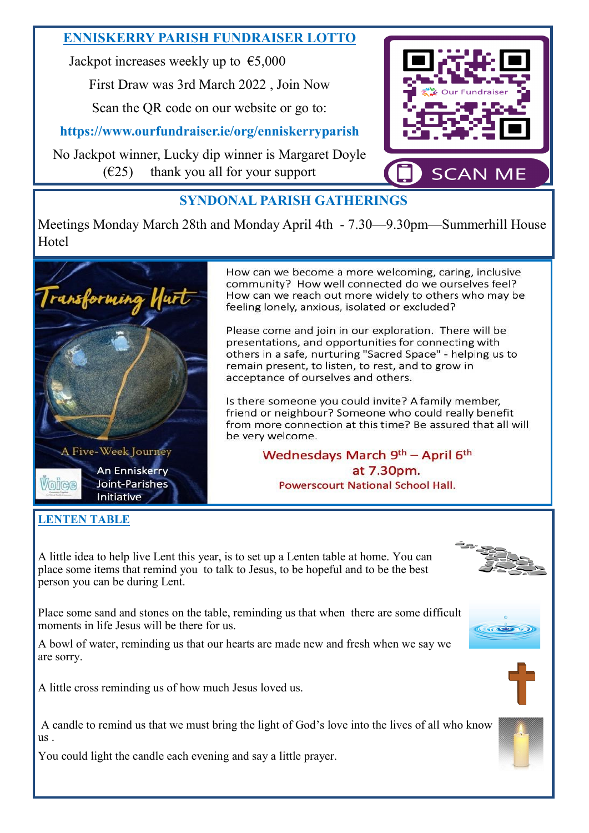## **ENNISKERRY PARISH FUNDRAISER LOTTO**

Jackpot increases weekly up to  $\epsilon$ 5,000

First Draw was 3rd March 2022 , Join Now

Scan the QR code on our website or go to:

**https://www.ourfundraiser.ie/org/enniskerryparish**

No Jackpot winner, Lucky dip winner is Margaret Doyle  $(625)$  thank you all for your support



# **SYNDONAL PARISH GATHERINGS**

Meetings Monday March 28th and Monday April 4th - 7.30—9.30pm—Summerhill House **H**otel



How can we become a more welcoming, caring, inclusive community? How well connected do we ourselves feel? How can we reach out more widely to others who may be feeling lonely, anxious, isolated or excluded?

Please come and join in our exploration. There will be presentations, and opportunities for connecting with others in a safe, nurturing "Sacred Space" - helping us to remain present, to listen, to rest, and to grow in acceptance of ourselves and others.

Is there someone you could invite? A family member, friend or neighbour? Someone who could really benefit from more connection at this time? Be assured that all will be very welcome.

> Wednesdays March 9th - April 6th at 7.30pm. **Powerscourt National School Hall.**

### **LENTEN TABLE**

A little idea to help live Lent this year, is to set up a Lenten table at home. You can place some items that remind you to talk to Jesus, to be hopeful and to be the best person you can be during Lent.

Place some sand and stones on the table, reminding us that when there are some difficult moments in life Jesus will be there for us.

A bowl of water, reminding us that our hearts are made new and fresh when we say we are sorry.

A little cross reminding us of how much Jesus loved us.

A candle to remind us that we must bring the light of God's love into the lives of all who know us .

You could light the candle each evening and say a little prayer.